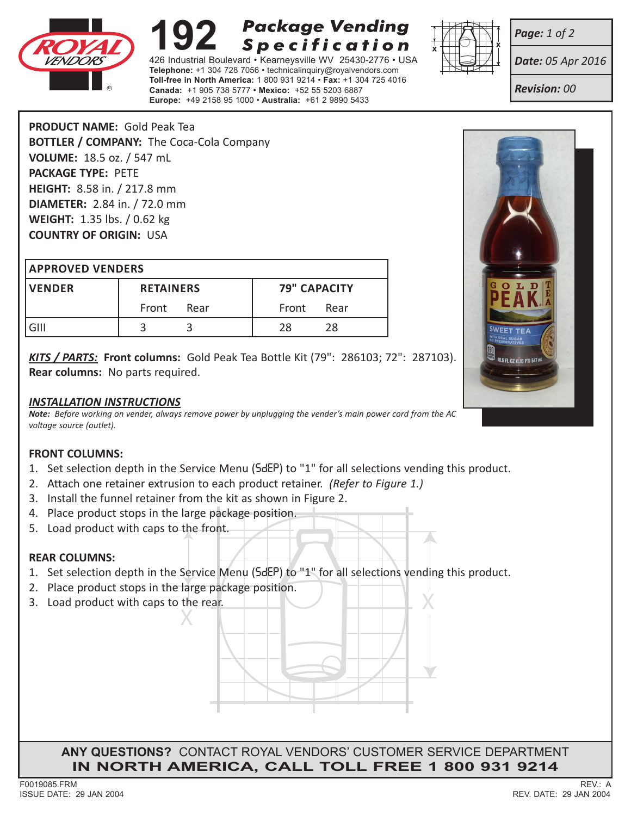

# **Package Vending 192 Package Vending<br>426 Industrial Boulevard • Kearneysville WV 25430-2776 • USA Specification**

**Telephone:** +1 304 728 7056 • technicalinquiry@royalvendors.com **Toll-free in North America:** 1 800 931 9214 • **Fax:** +1 304 725 4016 **Canada:** +1 905 738 5777 • **Mexico:** +52 55 5203 6887 **Europe:** +49 2158 95 1000 • **Australia:** +61 2 9890 5433



*Date: 05 Apr 2016*

*Revision: 00*

*Page: 1 of 2*

**PRODUCT NAME:** Gold Peak Tea **BOTTLER / COMPANY:** The Coca-Cola Company **VOLUME:** 18.5 oz. / 547 mL **PACKAGE TYPE:** PETE **HEIGHT:** 8.58 in. / 217.8 mm **DIAMETER:** 2.84 in. / 72.0 mm **WEIGHT:** 1.35 lbs. / 0.62 kg **COUNTRY OF ORIGIN:** USA

#### **APPROVED VENDERS**

| <b>IVENDER</b> | <b>RETAINERS</b> |      | <b>79" CAPACITY</b> |      |
|----------------|------------------|------|---------------------|------|
|                | Front            | Rear | Front               | Rear |
| GIII           |                  |      | 28                  | 28   |

*KITS / PARTS:* **Front columns:** Gold Peak Tea Bottle Kit (79": 286103; 72": 287103). **Rear columns:** No parts required.

#### *INSTALLATION INSTRUCTIONS*

*Note: Before working on vender, always remove power by unplugging the vender's main power cord from the AC voltage source (outlet).*

## **FRONT COLUMNS:**

- 1. Set selection depth in the Service Menu (SdEP) to "1" for all selections vending this product.
- 2. Attach one retainer extrusion to each product retainer. *(Refer to Figure 1.)*
- 3. Install the funnel retainer from the kit as shown in Figure 2.
- 4. Place product stops in the large package position.
- 5. Load product with caps to the front.

## **REAR COLUMNS:**

- 1. Set selection depth in the Service Menu (SdEP) to "1" for all selections vending this product.
- 2. Place product stops in the large package position.
- X 3. Load product with caps to the rear.

**ANY QUESTIONS?** CONTACT ROYAL VENDORS' CUSTOMER SERVICE DEPARTMENT **IN NORTH AMERICA, CALL TOLL FREE 1 800 931 9214**

X